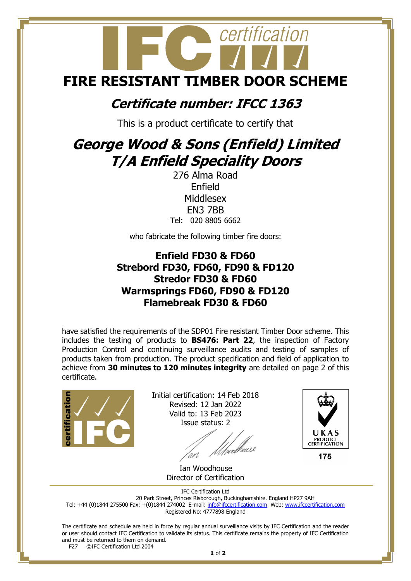

## **Certificate number: IFCC 1363**

This is a product certificate to certify that

## **George Wood & Sons (Enfield) Limited T/A Enfield Speciality Doors**

276 Alma Road Enfield **Middlesex** EN3 7BB Tel: 020 8805 6662

who fabricate the following timber fire doors:

## **Enfield FD30 & FD60 Strebord FD30, FD60, FD90 & FD120 Stredor FD30 & FD60 Warmsprings FD60, FD90 & FD120 Flamebreak FD30 & FD60**

have satisfied the requirements of the SDP01 Fire resistant Timber Door scheme. This includes the testing of products to **BS476: Part 22**, the inspection of Factory Production Control and continuing surveillance audits and testing of samples of products taken from production. The product specification and field of application to achieve from **30 minutes to 120 minutes integrity** are detailed on page 2 of this certificate.



Initial certification: 14 Feb 2018 Revised: 12 Jan 2022 Valid to: 13 Feb 2023 Issue status: 2

/<br>//wellieus2



 Ian Woodhouse Director of Certification

IFC Certification Ltd 20 Park Street, Princes Risborough, Buckinghamshire. England HP27 9AH Tel: +44 (0)1844 275500 Fax: +(0)1844 274002 E-mail[: info@ifccertification.com](mailto:info@ifccertification.com) Web: [www.ifccertification.com](http://www.ifccertification.com/) Registered No: 4777898 England

The certificate and schedule are held in force by regular annual surveillance visits by IFC Certification and the reader or user should contact IFC Certification to validate its status. This certificate remains the property of IFC Certification and must be returned to them on demand.<br>F27  $\odot$  FC Certification Ltd 2004 ©IFC Certification Ltd 2004

**1** of **2**